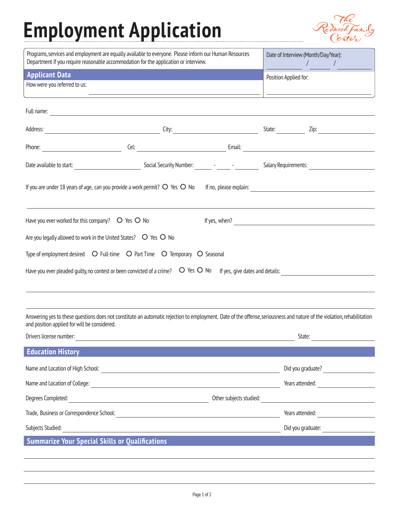## **Employment Application**



| Programs, services and employment are equally available to everyone. Please inform our Human Resources<br>Department if you require reasonable accommodation for the application or interview.                          | Date of Interview (Month/Day/Year):<br>$\mathcal{L} = \mathcal{L}$              |  |                       |  |  |
|-------------------------------------------------------------------------------------------------------------------------------------------------------------------------------------------------------------------------|---------------------------------------------------------------------------------|--|-----------------------|--|--|
| <b>Applicant Data</b><br>How were you referred to us:                                                                                                                                                                   |                                                                                 |  | Position Applied for: |  |  |
|                                                                                                                                                                                                                         |                                                                                 |  |                       |  |  |
|                                                                                                                                                                                                                         |                                                                                 |  |                       |  |  |
|                                                                                                                                                                                                                         |                                                                                 |  |                       |  |  |
|                                                                                                                                                                                                                         |                                                                                 |  |                       |  |  |
| If you are under 18 years of age, can you provide a work permit? $\circ$ Yes $\circ$ No                                                                                                                                 |                                                                                 |  |                       |  |  |
|                                                                                                                                                                                                                         |                                                                                 |  |                       |  |  |
| Have you ever worked for this company? $\circ$ Yes $\circ$ No                                                                                                                                                           |                                                                                 |  |                       |  |  |
| Are you legally allowed to work in the United States? $\circ$ Yes $\circ$ No                                                                                                                                            |                                                                                 |  |                       |  |  |
| Type of employment desired $\circ$ Full-time $\circ$ Part Time $\circ$ Temporary $\circ$ Seasonal                                                                                                                       |                                                                                 |  |                       |  |  |
| Have you ever pleaded guilty, no contest or been convicted of a crime?  O Yes O No If yes, give dates and details:                                                                                                      |                                                                                 |  |                       |  |  |
|                                                                                                                                                                                                                         |                                                                                 |  |                       |  |  |
|                                                                                                                                                                                                                         |                                                                                 |  |                       |  |  |
| Answering yes to these questions does not constitute an automatic rejection to employment. Date of the offense, seriousness and nature of the violation, rehabilitation<br>and position applied for will be considered. |                                                                                 |  |                       |  |  |
| Drivers license number:                                                                                                                                                                                                 |                                                                                 |  | State:                |  |  |
| <b>Education History</b>                                                                                                                                                                                                |                                                                                 |  |                       |  |  |
| Name and Location of High School:                                                                                                                                                                                       | <u> 1980 - Andrea Station Barbara, amerikan personal (h. 1980).</u>             |  | Did you graduate?     |  |  |
| Name and Location of College:                                                                                                                                                                                           | <u> 1980 - Jan James James Barbara, martin da kasar A</u>                       |  | Years attended:       |  |  |
| Degrees Completed:                                                                                                                                                                                                      | Other subjects studied:<br><u> 1980 - Johann Barn, fransk politik (d. 1980)</u> |  |                       |  |  |
| Trade, Business or Correspondence School:                                                                                                                                                                               | <u> 1989 - Johann Stein, mars an deutscher Stein († 1958)</u>                   |  | Years attended:       |  |  |
| Subjects Studied:                                                                                                                                                                                                       |                                                                                 |  | Did you graduate:     |  |  |
| <b>Summarize Your Special Skills or Qualifications</b>                                                                                                                                                                  |                                                                                 |  |                       |  |  |
|                                                                                                                                                                                                                         |                                                                                 |  |                       |  |  |